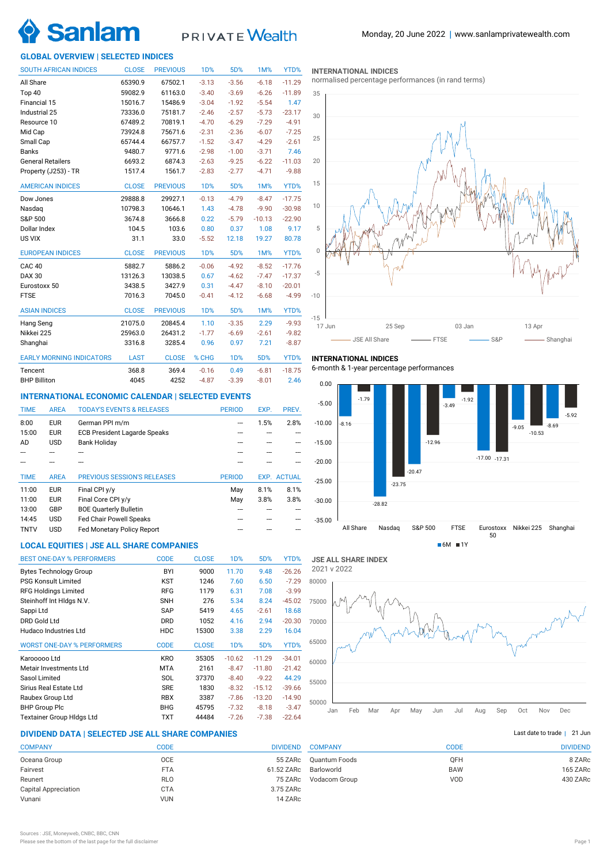

# **PRIVATE** Wealth

## **GLOBAL OVERVIEW | SELECTED INDICES**

| <b>SOUTH AFRICAN INDICES</b>    | <b>CLOSE</b> | <b>PREVIOUS</b> | <b>1D%</b>       | 5D%              | 1M%      | YTD%     |
|---------------------------------|--------------|-----------------|------------------|------------------|----------|----------|
| All Share                       | 65390.9      | 67502.1         | $-3.13$          | $-3.56$          | $-6.18$  | $-11.29$ |
| Top 40                          | 59082.9      | 61163.0         | $-3.40$          | $-3.69$          | $-6.26$  | $-11.89$ |
| Financial 15                    | 15016.7      | 15486.9         | $-3.04$          | $-1.92$          | $-5.54$  | 1.47     |
| Industrial 25                   | 73336.0      | 75181.7         | $-2.46$          | $-2.57$          | $-5.73$  | $-23.17$ |
| Resource 10                     | 67489.2      | 70819.1         | $-4.70$          | $-6.29$          | $-7.29$  | $-4.91$  |
| Mid Cap                         | 73924.8      | 75671.6         | $-2.31$          | $-2.36$          | $-6.07$  | $-7.25$  |
| Small Cap                       | 65744.4      | 66757.7         | $-1.52$          | $-3.47$          | $-4.29$  | $-2.61$  |
| <b>Banks</b>                    | 9480.7       | 9771.6          | $-2.98$          | $-1.00$          | $-3.71$  | 7.46     |
| <b>General Retailers</b>        | 6693.2       | 6874.3          | $-2.63$          | $-9.25$          | $-6.22$  | $-11.03$ |
| Property (J253) - TR            | 1517.4       | 1561.7          | $-2.83$          | $-2.77$          | $-4.71$  | $-9.88$  |
| <b>AMERICAN INDICES</b>         | <b>CLOSE</b> | <b>PREVIOUS</b> | 1 <sub>D</sub> % | 5D%              | 1M%      | YTD%     |
| Dow Jones                       | 29888.8      | 29927.1         | $-0.13$          | $-4.79$          | $-8.47$  | $-17.75$ |
| Nasdaq                          | 10798.3      | 10646.1         | 1.43             | $-4.78$          | $-9.90$  | $-30.98$ |
| S&P 500                         | 3674.8       | 3666.8          | 0.22             | $-5.79$          | $-10.13$ | $-22.90$ |
| Dollar Index                    | 104.5        | 103.6           | 0.80             | 0.37             | 1.08     | 9.17     |
| US VIX                          | 31.1         | 33.0            | $-5.52$          | 12.18            | 19.27    | 80.78    |
| <b>EUROPEAN INDICES</b>         | <b>CLOSE</b> | <b>PREVIOUS</b> | 1 <sub>D</sub> % | 5D%              | 1M%      | YTD%     |
| CAC <sub>40</sub>               | 5882.7       | 5886.2          | $-0.06$          | $-4.92$          | $-8.52$  | $-17.76$ |
| <b>DAX 30</b>                   | 13126.3      | 13038.5         | 0.67             | $-4.62$          | $-7.47$  | $-17.37$ |
| Eurostoxx 50                    | 3438.5       | 3427.9          | 0.31             | $-4.47$          | $-8.10$  | $-20.01$ |
| <b>FTSE</b>                     | 7016.3       | 7045.0          | $-0.41$          | $-4.12$          | $-6.68$  | $-4.99$  |
| <b>ASIAN INDICES</b>            | <b>CLOSE</b> | <b>PREVIOUS</b> | 1 <sub>D</sub> % | 5D%              | 1M%      | YTD%     |
| Hang Seng                       | 21075.0      | 20845.4         | 1.10             | $-3.35$          | 2.29     | $-9.93$  |
| Nikkei 225                      | 25963.0      | 26431.2         | $-1.77$          | $-6.69$          | $-2.61$  | $-9.82$  |
| Shanghai                        | 3316.8       | 3285.4          | 0.96             | 0.97             | 7.21     | $-8.87$  |
| <b>EARLY MORNING INDICATORS</b> | <b>LAST</b>  | <b>CLOSE</b>    | % CHG            | 1 <sub>D</sub> % | 5D%      | YTD%     |
| Tencent                         | 368.8        | 369.4           | $-0.16$          | 0.49             | $-6.81$  | $-18.75$ |
| <b>BHP Billiton</b>             | 4045         | 4252            | $-4.87$          | $-3.39$          | $-8.01$  | 2.46     |

## **INTERNATIONAL ECONOMIC CALENDAR | SELECTED EVENTS**

| <b>TIME</b> | <b>AREA</b> | <b>TODAY'S EVENTS &amp; RELEASES</b> | <b>PERIOD</b> | EXP. | PREV.              |
|-------------|-------------|--------------------------------------|---------------|------|--------------------|
| 8:00        | <b>EUR</b>  | German PPI m/m                       |               | 1.5% | 2.8%               |
| 15:00       | <b>EUR</b>  | <b>ECB President Lagarde Speaks</b>  |               |      |                    |
| AD          | <b>USD</b>  | <b>Bank Holiday</b>                  |               |      |                    |
|             |             |                                      |               |      |                    |
|             |             |                                      |               |      |                    |
|             |             |                                      |               |      |                    |
| <b>TIME</b> | <b>AREA</b> | <b>PREVIOUS SESSION'S RELEASES</b>   | <b>PERIOD</b> |      | <b>EXP. ACTUAL</b> |
| 11:00       | <b>EUR</b>  | Final CPI y/y                        | May           | 8.1% | 8.1%               |
| 11:00       | <b>EUR</b>  | Final Core CPI y/y                   | May           | 3.8% | 3.8%               |
| 13:00       | GBP         | <b>BOE Quarterly Bulletin</b>        |               |      |                    |
| 14:45       | <b>USD</b>  | <b>Fed Chair Powell Speaks</b>       |               |      |                    |

## **LOCAL EQUITIES | JSE ALL SHARE COMPANIES**

| <b>BEST ONE-DAY % PERFORMERS</b>  | <b>CODE</b> | <b>CLOSE</b> | 1 <sub>D</sub> % | 5D%      | YTD%     |
|-----------------------------------|-------------|--------------|------------------|----------|----------|
| <b>Bytes Technology Group</b>     | BYI         | 9000         | 11.70            | 9.48     | $-26.26$ |
| <b>PSG Konsult Limited</b>        | KST         | 1246         | 7.60             | 6.50     | $-7.29$  |
| <b>RFG Holdings Limited</b>       | <b>RFG</b>  | 1179         | 6.31             | 7.08     | $-3.99$  |
| Steinhoff Int HIdgs N.V.          | <b>SNH</b>  | 276          | 5.34             | 8.24     | $-45.02$ |
| Sappi Ltd                         | <b>SAP</b>  | 5419         | 4.65             | $-2.61$  | 18.68    |
| <b>DRD Gold Ltd</b>               | <b>DRD</b>  | 1052         | 4.16             | 2.94     | $-20.30$ |
| Hudaco Industries Ltd             | <b>HDC</b>  | 15300        | 3.38             | 2.29     | 16.04    |
| <b>WORST ONE-DAY % PERFORMERS</b> | <b>CODE</b> | <b>CLOSE</b> | 1 <sub>D</sub> % | 5D%      | YTD%     |
| Karooooo Ltd                      | <b>KRO</b>  | 35305        | $-10.62$         | $-11.29$ | $-34.01$ |
| Metair Investments Ltd            | <b>MTA</b>  | 2161         | $-8.47$          | $-11.80$ | $-21.42$ |
| Sasol Limited                     | SOL         | 37370        | $-8.40$          | $-9.22$  | 44.29    |
| Sirius Real Estate Ltd            | <b>SRE</b>  | 1830         | $-8.32$          | $-15.12$ | $-39.66$ |
| Raubex Group Ltd                  | <b>RBX</b>  | 3387         | $-7.86$          | $-13.20$ | $-14.90$ |
| <b>BHP Group Plc</b>              | <b>BHG</b>  | 45795        | $-7.32$          | $-8.18$  | $-3.47$  |
| <b>Textainer Group Hidgs Ltd</b>  | TXT         | 44484        | $-7.26$          | $-7.38$  | $-22.64$ |

## **DIVIDEND DATA | SELECTED JSE ALL SHARE COMPANIES |**

| <b>COMPANY</b>              | CODE       | <b>DIVIDEND</b> |
|-----------------------------|------------|-----------------|
| Oceana Group                | <b>OCE</b> | 55 ZARc         |
| Fairvest                    | <b>FTA</b> | 61.52 ZARc      |
| Reunert                     | RLO        | 75 ZARc         |
| <b>Capital Appreciation</b> | <b>CTA</b> | 3.75 ZARc       |
| Vunani                      | <b>VUN</b> | 14 ZARc         |
|                             |            |                 |

#### **INTERNATIONAL INDICES**

normalised percentage performances (in rand terms)



## **INTERNATIONAL INDICES**

6-month & 1-year percentage performances



**JSE ALL SHARE INDEX** 2021 v 2022



## Last date to trade | 21 Jun

| <b>COMPANY</b> | CODE       | <b>DIVIDEND</b> |
|----------------|------------|-----------------|
| Quantum Foods  | <b>OFH</b> | 8 ZARc          |
| Barloworld     | <b>BAW</b> | 165 ZARc        |
| Vodacom Group  | VOD        | 430 ZARc        |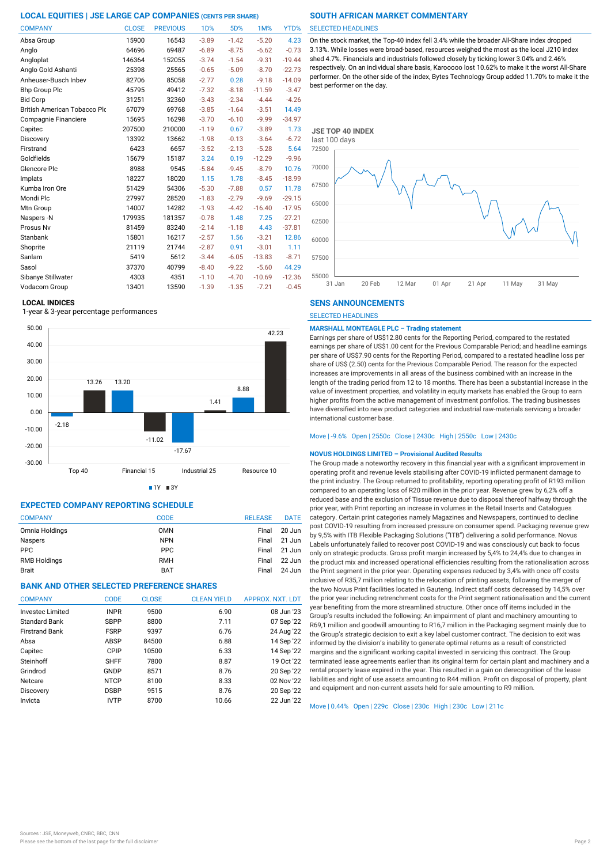| <b>COMPANY</b>               | <b>CLOSE</b> | <b>PREVIOUS</b> | <b>1D%</b> | 5D%     | 1M%      | YTD%     |
|------------------------------|--------------|-----------------|------------|---------|----------|----------|
| Absa Group                   | 15900        | 16543           | $-3.89$    | $-1.42$ | $-5.20$  | 4.23     |
| Anglo                        | 64696        | 69487           | $-6.89$    | $-8.75$ | $-6.62$  | $-0.73$  |
| Angloplat                    | 146364       | 152055          | $-3.74$    | $-1.54$ | $-9.31$  | $-19.44$ |
| Anglo Gold Ashanti           | 25398        | 25565           | $-0.65$    | $-5.09$ | $-8.70$  | $-22.73$ |
| Anheuser-Busch Inbev         | 82706        | 85058           | $-2.77$    | 0.28    | $-9.18$  | $-14.09$ |
| <b>Bhp Group Plc</b>         | 45795        | 49412           | $-7.32$    | $-8.18$ | $-11.59$ | $-3.47$  |
| <b>Bid Corp</b>              | 31251        | 32360           | $-3.43$    | $-2.34$ | $-4.44$  | $-4.26$  |
| British American Tobacco Plo | 67079        | 69768           | $-3.85$    | $-1.64$ | $-3.51$  | 14.49    |
| Compagnie Financiere         | 15695        | 16298           | $-3.70$    | $-6.10$ | $-9.99$  | $-34.97$ |
| Capitec                      | 207500       | 210000          | $-1.19$    | 0.67    | $-3.89$  | 1.73     |
| Discovery                    | 13392        | 13662           | $-1.98$    | $-0.13$ | $-3.64$  | $-6.72$  |
| Firstrand                    | 6423         | 6657            | $-3.52$    | $-2.13$ | $-5.28$  | 5.64     |
| Goldfields                   | 15679        | 15187           | 3.24       | 0.19    | $-12.29$ | $-9.96$  |
| Glencore Plc                 | 8988         | 9545            | $-5.84$    | $-9.45$ | $-8.79$  | 10.76    |
| Implats                      | 18227        | 18020           | 1.15       | 1.78    | $-8.45$  | $-18.99$ |
| Kumba Iron Ore               | 51429        | 54306           | $-5.30$    | $-7.88$ | 0.57     | 11.78    |
| Mondi Plc                    | 27997        | 28520           | $-1.83$    | $-2.79$ | $-9.69$  | $-29.15$ |
| Mtn Group                    | 14007        | 14282           | $-1.93$    | $-4.42$ | $-16.40$ | $-17.95$ |
| Naspers -N                   | 179935       | 181357          | $-0.78$    | 1.48    | 7.25     | $-27.21$ |
| Prosus Nv                    | 81459        | 83240           | $-2.14$    | $-1.18$ | 4.43     | $-37.81$ |
| Stanbank                     | 15801        | 16217           | $-2.57$    | 1.56    | $-3.21$  | 12.86    |
| Shoprite                     | 21119        | 21744           | $-2.87$    | 0.91    | $-3.01$  | 1.11     |
| Sanlam                       | 5419         | 5612            | $-3.44$    | $-6.05$ | $-13.83$ | $-8.71$  |
| Sasol                        | 37370        | 40799           | $-8.40$    | $-9.22$ | $-5.60$  | 44.29    |
| Sibanye Stillwater           | 4303         | 4351            | $-1.10$    | $-4.70$ | $-10.69$ | $-12.36$ |
| Vodacom Group                | 13401        | 13590           | $-1.39$    | $-1.35$ | $-7.21$  | $-0.45$  |

### **LOCAL INDICES**

1-year & 3-year percentage performances



 $1Y = 3Y$ 

## **EXPECTED COMPANY REPORTING SCHEDULE**

| <b>COMPANY</b>      | <b>CODE</b> | <b>RELEASE</b> | <b>DATE</b> |
|---------------------|-------------|----------------|-------------|
| Omnia Holdings      | <b>OMN</b>  | Final          | 20 Jun      |
| <b>Naspers</b>      | <b>NPN</b>  | Final          | 21 Jun      |
| <b>PPC</b>          | <b>PPC</b>  | Final          | 21 Jun      |
| <b>RMB Holdings</b> | <b>RMH</b>  | Final          | 22 Jun      |
| <b>Brait</b>        | <b>BAT</b>  | Final          | 24 Jun      |

## **BANK AND OTHER SELECTED PREFERENCE SHARES**

| <b>COMPANY</b>          | <b>CODE</b> | <b>CLOSE</b> | <b>CLEAN YIELD</b> | <b>APPROX. NXT. LDT</b> |
|-------------------------|-------------|--------------|--------------------|-------------------------|
| <b>Investec Limited</b> | <b>INPR</b> | 9500         | 6.90               | 08 Jun '23              |
| Standard Bank           | <b>SBPP</b> | 8800         | 7.11               | 07 Sep '22              |
| <b>Firstrand Bank</b>   | <b>FSRP</b> | 9397         | 6.76               | 24 Aug '22              |
| Absa                    | <b>ABSP</b> | 84500        | 6.88               | 14 Sep '22              |
| Capitec                 | CPIP        | 10500        | 6.33               | 14 Sep '22              |
| Steinhoff               | <b>SHFF</b> | 7800         | 8.87               | 19 Oct '22              |
| Grindrod                | GNDP        | 8571         | 8.76               | 20 Sep '22              |
| Netcare                 | <b>NTCP</b> | 8100         | 8.33               | 02 Nov '22              |
| Discovery               | <b>DSBP</b> | 9515         | 8.76               | 20 Sep '22              |
| Invicta                 | <b>IVTP</b> | 8700         | 10.66              | 22 Jun '22              |

### SELECTED HEADLINES

On the stock market, the Top-40 index fell 3.4% while the broader All-Share index dropped 3.13%. While losses were broad-based, resources weighed the most as the local J210 index shed 4.7%. Financials and industrials followed closely by ticking lower 3.04% and 2.46% respectively. On an individual share basis, Karooooo lost 10.62% to make it the worst All-Share performer. On the other side of the index, Bytes Technology Group added 11.70% to make it the best performer on the day.



### **SENS ANNOUNCEMENTS**

SELECTED HEADLINES

## **MARSHALL MONTEAGLE PLC – Trading statement**

Earnings per share of US\$12.80 cents for the Reporting Period, compared to the restated earnings per share of US\$1.00 cent for the Previous Comparable Period; and headline earnings per share of US\$7.90 cents for the Reporting Period, compared to a restated headline loss per share of US\$ (2.50) cents for the Previous Comparable Period. The reason for the expected increases are improvements in all areas of the business combined with an increase in the length of the trading period from 12 to 18 months. There has been a substantial increase in the value of investment properties, and volatility in equity markets has enabled the Group to earn higher profits from the active management of investment portfolios. The trading businesses have diversified into new product categories and industrial raw-materials servicing a broader international customer base.

## Move | -9.6% Open | 2550c Close | 2430c High | 2550c Low | 2430c

## **NOVUS HOLDINGS LIMITED – Provisional Audited Results**

The Group made a noteworthy recovery in this financial year with a significant improvement in operating profit and revenue levels stabilising after COVID-19 inflicted permanent damage to the print industry. The Group returned to profitability, reporting operating profit of R193 million compared to an operating loss of R20 million in the prior year. Revenue grew by 6,2% off a reduced base and the exclusion of Tissue revenue due to disposal thereof halfway through the prior year, with Print reporting an increase in volumes in the Retail Inserts and Catalogues category. Certain print categories namely Magazines and Newspapers, continued to decline post COVID-19 resulting from increased pressure on consumer spend. Packaging revenue grew by 9,5% with ITB Flexible Packaging Solutions ("ITB") delivering a solid performance. Novus Labels unfortunately failed to recover post COVID-19 and was consciously cut back to focus only on strategic products. Gross profit margin increased by 5,4% to 24,4% due to changes in the product mix and increased operational efficiencies resulting from the rationalisation across the Print segment in the prior year. Operating expenses reduced by 3,4% with once off costs inclusive of R35,7 million relating to the relocation of printing assets, following the merger of the two Novus Print facilities located in Gauteng. Indirect staff costs decreased by 14,5% over the prior year including retrenchment costs for the Print segment rationalisation and the current year benefiting from the more streamlined structure. Other once off items included in the Group's results included the following: An impairment of plant and machinery amounting to R69,1 million and goodwill amounting to R16,7 million in the Packaging segment mainly due to the Group's strategic decision to exit a key label customer contract. The decision to exit was informed by the division's inability to generate optimal returns as a result of constricted margins and the significant working capital invested in servicing this contract. The Group terminated lease agreements earlier than its original term for certain plant and machinery and a rental property lease expired in the year. This resulted in a gain on derecognition of the lease liabilities and right of use assets amounting to R44 million. Profit on disposal of property, plant and equipment and non-current assets held for sale amounting to R9 million.

Move | 0.44% Open | 229c Close | 230c High | 230c Low | 211c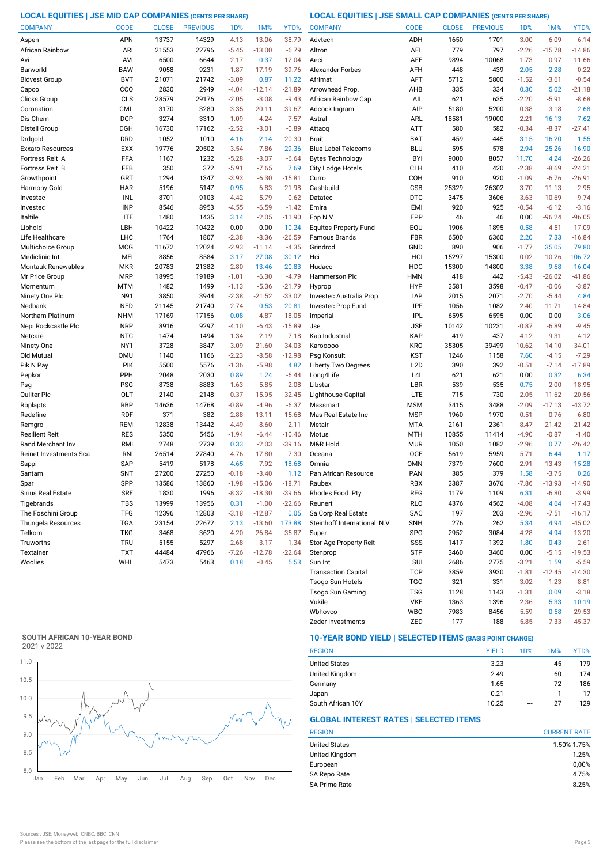**LOCAL EQUITIES | JSE MID CAP COMPANIES (CENTS PER SHARE) LOCAL EQUITIES | JSE SMALL CAP COMPANIES (CENTS PER SHARE)**

| <b>COMPANY</b>                           | <b>CODE</b>       | <b>CLOSE</b>   | <b>PREVIOUS</b> | 1 <sub>D</sub> % | 1M%                  | YTD%               | <b>COMPANY</b>                                      | <b>CODE</b>                    | <b>CLOSE</b>  | <b>PREVIOUS</b> | <b>1D%</b>         | 1M%                | YTD%                 |
|------------------------------------------|-------------------|----------------|-----------------|------------------|----------------------|--------------------|-----------------------------------------------------|--------------------------------|---------------|-----------------|--------------------|--------------------|----------------------|
| Aspen                                    | <b>APN</b>        | 13737          | 14329           | $-4.13$          | $-13.06$             | $-38.79$           | Advtech                                             | ADH                            | 1650          | 1701            | $-3.00$            | $-6.09$            | $-6.14$              |
| African Rainbow                          | ARI               | 21553          | 22796           | $-5.45$          | $-13.00$             | $-6.79$            | Altron                                              | <b>AEL</b>                     | 779           | 797             | $-2.26$            | $-15.78$           | $-14.86$             |
| Avi                                      | AVI               | 6500           | 6644            | $-2.17$          | 0.37                 | $-12.04$           | Aeci                                                | AFE                            | 9894          | 10068           | $-1.73$            | $-0.97$            | $-11.66$             |
| Barworld                                 | <b>BAW</b>        | 9058           | 9231            | $-1.87$          | $-17.19$             | $-39.76$           | <b>Alexander Forbes</b>                             | AFH                            | 448           | 439             | 2.05               | 2.28               | $-0.22$              |
| <b>Bidvest Group</b>                     | <b>BVT</b>        | 21071          | 21742           | $-3.09$          | 0.87                 | 11.22              | Afrimat                                             | AFT                            | 5712          | 5800            | $-1.52$            | $-3.61$            | $-0.54$              |
| Capco                                    | CCO               | 2830           | 2949            | $-4.04$          | $-12.14$             | $-21.89$           | Arrowhead Prop.                                     | AHB                            | 335           | 334             | 0.30               | 5.02               | $-21.18$             |
| Clicks Group                             | CLS               | 28579          | 29176           | $-2.05$          | $-3.08$              | $-9.43$            | African Rainbow Cap.                                | AIL                            | 621           | 635             | $-2.20$            | $-5.91$            | $-8.68$              |
| Coronation                               | <b>CML</b>        | 3170           | 3280            | $-3.35$          | $-20.11$             | $-39.67$           | Adcock Ingram                                       | AIP                            | 5180          | 5200            | $-0.38$            | $-3.18$            | 2.68                 |
| Dis-Chem                                 | <b>DCP</b>        | 3274           | 3310            | $-1.09$          | $-4.24$              | $-7.57$            | Astral                                              | ARL                            | 18581         | 19000           | $-2.21$            | 16.13              | 7.62                 |
| Distell Group                            | DGH               | 16730          | 17162           | $-2.52$          | $-3.01$              | $-0.89$            | Attacq                                              | ATT                            | 580           | 582             | $-0.34$            | $-8.37$            | $-27.41$             |
| Drdgold                                  | <b>DRD</b>        | 1052           | 1010            | 4.16             | 2.14                 | $-20.30$           | <b>Brait</b>                                        | <b>BAT</b>                     | 459           | 445             | 3.15               | 16.20              | 1.55                 |
| Exxaro Resources                         | <b>EXX</b>        | 19776          | 20502           | $-3.54$          | $-7.86$              | 29.36              | <b>Blue Label Telecoms</b>                          | <b>BLU</b>                     | 595           | 578             | 2.94               | 25.26              | 16.90                |
| Fortress Reit A                          | <b>FFA</b>        | 1167           | 1232            | $-5.28$          | $-3.07$              | $-6.64$            | <b>Bytes Technology</b>                             | <b>BYI</b>                     | 9000          | 8057            | 11.70              | 4.24               | $-26.26$             |
| Fortress Reit B                          | FFB               | 350            | 372             | $-5.91$          | $-7.65$              | 7.69               | City Lodge Hotels                                   | <b>CLH</b>                     | 410           | 420             | $-2.38$            | $-8.69$            | $-24.21$             |
| Growthpoint                              | GRT               | 1294           | 1347            | $-3.93$          | $-6.30$              | $-15.81$           | Curro                                               | COH                            | 910           | 920             | $-1.09$            | $-6.76$            | $-26.91$             |
| Harmony Gold                             | <b>HAR</b>        | 5196           | 5147            | 0.95             | $-6.83$              | $-21.98$           | Cashbuild                                           | <b>CSB</b>                     | 25329         | 26302           | $-3.70$            | $-11.13$           | $-2.95$              |
| Investec                                 | INL               | 8701           | 9103            | $-4.42$          | $-5.79$              | $-0.62$            | Datatec                                             | <b>DTC</b>                     | 3475          | 3606            | $-3.63$            | $-10.69$           | $-9.74$              |
| Investec                                 | <b>INP</b>        | 8546           | 8953            | $-4.55$          | $-6.59$              | $-1.42$            | Emira                                               | EMI                            | 920           | 925             | $-0.54$            | $-6.12$            | $-3.16$              |
| Italtile                                 | <b>ITE</b>        | 1480           | 1435            | 3.14             | $-2.05$              | $-11.90$           | Epp N.V                                             | EPP                            | 46            | 46              | 0.00               | $-96.24$           | $-96.05$             |
| Libhold                                  | LBH               | 10422          | 10422           | 0.00             | 0.00                 | 10.24              | <b>Equites Property Fund</b>                        | EQU                            | 1906          | 1895            | 0.58               | $-4.51$            | $-17.09$             |
| Life Healthcare                          | LHC               | 1764           | 1807            | $-2.38$          | $-8.36$              | $-26.59$           | <b>Famous Brands</b>                                | <b>FBR</b>                     | 6500          | 6360            | 2.20               | 7.33               | $-16.84$             |
| Multichoice Group                        | <b>MCG</b>        | 11672          | 12024           | $-2.93$          | $-11.14$             | $-4.35$            | Grindrod                                            | GND                            | 890           | 906             | $-1.77$            | 35.05              | 79.80                |
| Mediclinic Int.                          | MEI               | 8856           | 8584            |                  |                      | 30.12              | Hci                                                 | HCI                            | 15297         | 15300           | $-0.02$            | $-10.26$           | 106.72               |
| <b>Montauk Renewables</b>                | <b>MKR</b>        | 20783          | 21382           | 3.17<br>$-2.80$  | 27.08                | 20.83              |                                                     | <b>HDC</b>                     | 15300         | 14800           | 3.38               | 9.68               | 16.04                |
| Mr Price Group                           | <b>MRP</b>        | 18995          | 19189           | $-1.01$          | 13.46<br>$-6.30$     | $-4.79$            | Hudaco<br>Hammerson Plc                             | <b>HMN</b>                     | 418           | 442             | $-5.43$            | $-26.02$           | $-41.86$             |
|                                          |                   |                |                 |                  |                      |                    |                                                     |                                |               |                 |                    |                    |                      |
| Momentum                                 | MTM<br>N91        | 1482<br>3850   | 1499<br>3944    | $-1.13$          | $-5.36$              | $-21.79$           | Hyprop<br>Investec Australia Prop.                  | <b>HYP</b><br><b>IAP</b>       | 3581<br>2015  | 3598<br>2071    | $-0.47$<br>$-2.70$ | $-0.06$<br>$-5.44$ | $-3.87$              |
| Ninety One Plc                           |                   |                |                 | $-2.38$          | $-21.52$             | $-33.02$           |                                                     |                                |               |                 |                    |                    | 4.84                 |
| Nedbank                                  | <b>NED</b>        | 21145          | 21740           | $-2.74$          | 0.53                 | 20.81              | Investec Prop Fund                                  | IPF                            | 1056          | 1082            | $-2.40$            | $-11.71$           | $-14.84$             |
| Northam Platinum                         | <b>NHM</b>        | 17169          | 17156           | 0.08             | $-4.87$              | $-18.05$           | Imperial                                            | <b>IPL</b>                     | 6595          | 6595            | 0.00               | 0.00               | 3.06                 |
| Nepi Rockcastle Plc                      | <b>NRP</b>        | 8916           | 9297            | $-4.10$          | $-6.43$              | $-15.89$           | Jse                                                 | <b>JSE</b>                     | 10142         | 10231<br>437    | $-0.87$            | $-6.89$            | $-9.45$              |
| Netcare                                  | <b>NTC</b>        | 1474           | 1494            | $-1.34$          | $-2.19$              | $-7.18$            | Kap Industrial                                      | <b>KAP</b>                     | 419           |                 | $-4.12$            | $-9.31$            | $-4.12$              |
| Ninety One                               | NY1<br><b>OMU</b> | 3728<br>1140   | 3847            | $-3.09$          | $-21.60$             | $-34.03$           | Karooooo                                            | <b>KRO</b>                     | 35305<br>1246 | 39499           | $-10.62$           | $-14.10$           | $-34.01$<br>$-7.29$  |
| Old Mutual                               | <b>PIK</b>        | 5500           | 1166<br>5576    | $-2.23$          | $-8.58$<br>$-5.98$   | $-12.98$<br>4.82   | Psg Konsult                                         | <b>KST</b><br>L <sub>2</sub> D | 390           | 1158<br>392     | 7.60<br>$-0.51$    | $-4.15$<br>$-7.14$ | $-17.89$             |
| Pik N Pay                                | PPH               | 2048           | 2030            | $-1.36$          | 1.24                 |                    | <b>Liberty Two Degrees</b>                          | L <sub>4</sub> L               | 621           | 621             | 0.00               | 0.32               | 6.34                 |
| Pepkor                                   | <b>PSG</b>        | 8738           | 8883            | 0.89<br>$-1.63$  | $-5.85$              | $-6.44$<br>$-2.08$ | Long4Life<br>Libstar                                | LBR                            | 539           | 535             | 0.75               | $-2.00$            | $-18.95$             |
| Psg<br>Quilter Plc                       | QLT               | 2140           | 2148            | $-0.37$          | $-15.95$             | $-32.45$           |                                                     | <b>LTE</b>                     | 715           | 730             | $-2.05$            | $-11.62$           | $-20.56$             |
| Rbplapts                                 | <b>RBP</b>        | 14636          | 14768           | $-0.89$          | $-4.96$              | $-6.37$            | Lighthouse Capital<br>Massmart                      | <b>MSM</b>                     | 3415          | 3488            | $-2.09$            | $-17.13$           | $-43.72$             |
| Redefine                                 | <b>RDF</b>        | 371            | 382             | $-2.88$          | $-13.11$             | $-15.68$           | Mas Real Estate Inc                                 | <b>MSP</b>                     | 1960          | 1970            | $-0.51$            | $-0.76$            | $-6.80$              |
| Remgro                                   | REM               | 12838          | 13442           | $-4.49$          | $-8.60$              | $-2.11$            | Metair                                              | <b>MTA</b>                     | 2161          | 2361            | $-8.47$            | $-21.42$           | $-21.42$             |
| <b>Resilient Reit</b>                    | <b>RES</b>        | 5350           | 5456            | $-1.94$          | $-6.44$              | $-10.46$           | Motus                                               | <b>MTH</b>                     | 10855         | 11414           | $-4.90$            | $-0.87$            | $-1.40$              |
| Rand Merchant Inv                        | RMI               | 2748           | 2739            | 0.33             | $-2.03$              | $-39.16$           | M&R Hold                                            | <b>MUR</b>                     | 1050          | 1082            | $-2.96$            | 0.77               | $-26.42$             |
| Reinet Investments Sca                   | <b>RNI</b>        | 26514          | 27840           | $-4.76$          | $-17.80$             | $-7.30$            | Oceana                                              | <b>OCE</b>                     | 5619          | 5959            | $-5.71$            | 6.44               | 1.17                 |
|                                          | <b>SAP</b>        | 5419           | 5178            | 4.65             | $-7.92$              | 18.68              | Omnia                                               | <b>OMN</b>                     | 7379          | 7600            | $-2.91$            | $-13.43$           | 15.28                |
| Sappi<br>Santam                          | <b>SNT</b>        | 27200          | 27250           | $-0.18$          | $-3.40$              | 1.12               | Pan African Resource                                | <b>PAN</b>                     | 385           | 379             | 1.58               | $-3.75$            | 0.26                 |
|                                          |                   |                |                 | $-1.98$          | $-15.06$             | $-18.71$           |                                                     |                                |               | 3676            | $-7.86$            | $-13.93$           | $-14.90$             |
| Spar<br>Sirius Real Estate               | SPP<br>SRE        | 13586<br>1830  | 13860<br>1996   | $-8.32$          | $-18.30$             | $-39.66$           | Raubex<br>Rhodes Food Pty                           | <b>RBX</b><br>RFG              | 3387<br>1179  | 1109            | 6.31               | $-6.80$            | $-3.99$              |
| Tigebrands                               | TBS               | 13999          | 13956           | 0.31             | $-1.00$              | $-22.66$           | Reunert                                             | <b>RLO</b>                     | 4376          | 4562            | $-4.08$            | 4.64               |                      |
|                                          |                   |                |                 |                  |                      |                    |                                                     |                                |               |                 |                    |                    | $-17.43$             |
| The Foschini Group<br>Thungela Resources | <b>TFG</b>        | 12396<br>23154 | 12803<br>22672  | $-3.18$<br>2.13  | $-12.87$<br>$-13.60$ | 0.05<br>173.88     | Sa Corp Real Estate<br>Steinhoff International N.V. | SAC<br><b>SNH</b>              | 197           | 203             | $-2.96$            | $-7.51$<br>4.94    | $-16.17$<br>$-45.02$ |
|                                          | TGA               |                |                 |                  |                      |                    |                                                     |                                | 276           | 262             | 5.34               |                    |                      |
| Telkom                                   | <b>TKG</b>        | 3468           | 3620            | $-4.20$          | $-26.84$             | $-35.87$           | Super                                               | <b>SPG</b>                     | 2952          | 3084            | $-4.28$            | 4.94               | $-13.20$             |
| Truworths                                | <b>TRU</b>        | 5155           | 5297            | $-2.68$          | $-3.17$              | $-1.34$            | Stor-Age Property Reit                              | SSS                            | 1417          | 1392            | 1.80               | 0.43               | $-2.61$              |
| Textainer                                | TXT               | 44484          | 47966           | $-7.26$          | $-12.78$             | $-22.64$           | Stenprop                                            | STP                            | 3460          | 3460            | 0.00               | $-5.15$            | $-19.53$             |
| Woolies                                  | WHL               | 5473           | 5463            | 0.18             | $-0.45$              | 5.53               | Sun Int                                             | <b>SUI</b>                     | 2686          | 2775            | $-3.21$            | 1.59               | $-5.59$              |
|                                          |                   |                |                 |                  |                      |                    | <b>Transaction Capital</b>                          | <b>TCP</b>                     | 3859          | 3930            | $-1.81$            | $-12.45$           | $-14.30$             |
|                                          |                   |                |                 |                  |                      |                    | Tsogo Sun Hotels                                    | <b>TGO</b>                     | 321           | 331             | $-3.02$            | $-1.23$            | $-8.81$              |

## **SOUTH AFRICAN 10-YEAR BOND**

2021 v 2022



## **10-YEAR BOND YIELD | SELECTED ITEMS (BASIS POINT CHANGE)**

| <b>REGION</b>        | <b>YIELD</b> | 1D%                      | 1M% | YTD% |
|----------------------|--------------|--------------------------|-----|------|
| <b>United States</b> | 3.23         | $\overline{\phantom{a}}$ | 45  | 179  |
| United Kingdom       | 2.49         | ---                      | 60  | 174  |
| Germany              | 1.65         | ---                      | 72  | 186  |
| Japan                | 0.21         | ---                      | -1  | 17   |
| South African 10Y    | 10.25        | ---                      | 27  | 129  |

Zeder Investments 2ED 177 188 -5.85 -7.33 -45.37

Wbhovco WBO 7983 8456 -5.59 0.58 -29.53 Vukile VKE 1363 1396 -2.36 5.33

Tsogo Sun Gaming TSG 1128 1143 -1.31 0.09 -3.18

## **GLOBAL INTEREST RATES | SELECTED ITEMS**

| <b>REGION</b>        | <b>CURRENT RATE</b> |
|----------------------|---------------------|
| <b>United States</b> | 1.50%-1.75%         |
| United Kingdom       | 1.25%               |
| European             | 0,00%               |
| SA Repo Rate         | 4.75%               |
| <b>SA Prime Rate</b> | 8.25%               |
|                      |                     |

 $10.19$ <br> $-29.53$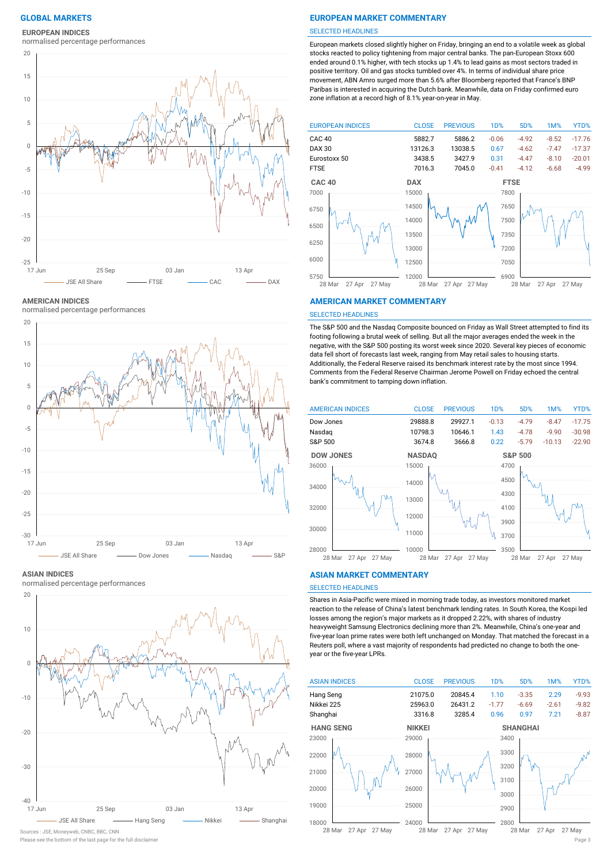## **EUROPEAN INDICES**

normalised percentage performances



**AMERICAN INDICES**

normalised percentage performances



#### **ASIAN INDICES**

normalised percentage performances



Please see the bottom of the last page for the full disclaimer Page 3

## **GLOBAL MARKETS EUROPEAN MARKET COMMENTARY**

#### SELECTED HEADLINES

European markets closed slightly higher on Friday, bringing an end to a volatile week as global stocks reacted to policy tightening from major central banks. The pan-European Stoxx 600 ended around 0.1% higher, with tech stocks up 1.4% to lead gains as most sectors traded in positive territory. Oil and gas stocks tumbled over 4%. In terms of individual share price movement, ABN Amro surged more than 5.6% after Bloomberg reported that France's BNP Paribas is interested in acquiring the Dutch bank. Meanwhile, data on Friday confirmed euro zone inflation at a record high of 8.1% year-on-year in May.



#### **AMERICAN MARKET COMMENTARY**

#### SELECTED HEADLINES

The S&P 500 and the Nasdaq Composite bounced on Friday as Wall Street attempted to find its footing following a brutal week of selling. But all the major averages ended the week in the negative, with the S&P 500 posting its worst week since 2020. Several key pieces of economic data fell short of forecasts last week, ranging from May retail sales to housing starts. Additionally, the Federal Reserve raised its benchmark interest rate by the most since 1994. Comments from the Federal Reserve Chairman Jerome Powell on Friday echoed the central bank's commitment to tamping down inflation.



### **ASIAN MARKET COMMENTARY**

## SELECTED HEADLINES

Shares in Asia-Pacific were mixed in morning trade today, as investors monitored market reaction to the release of China's latest benchmark lending rates. In South Korea, the Kospi led losses among the region's major markets as it dropped 2.22%, with shares of industry heavyweight Samsung Electronics declining more than 2%. Meanwhile, China's one-year and five-year loan prime rates were both left unchanged on Monday. That matched the forecast in a Reuters poll, where a vast majority of respondents had predicted no change to both the oneyear or the five-year LPRs.